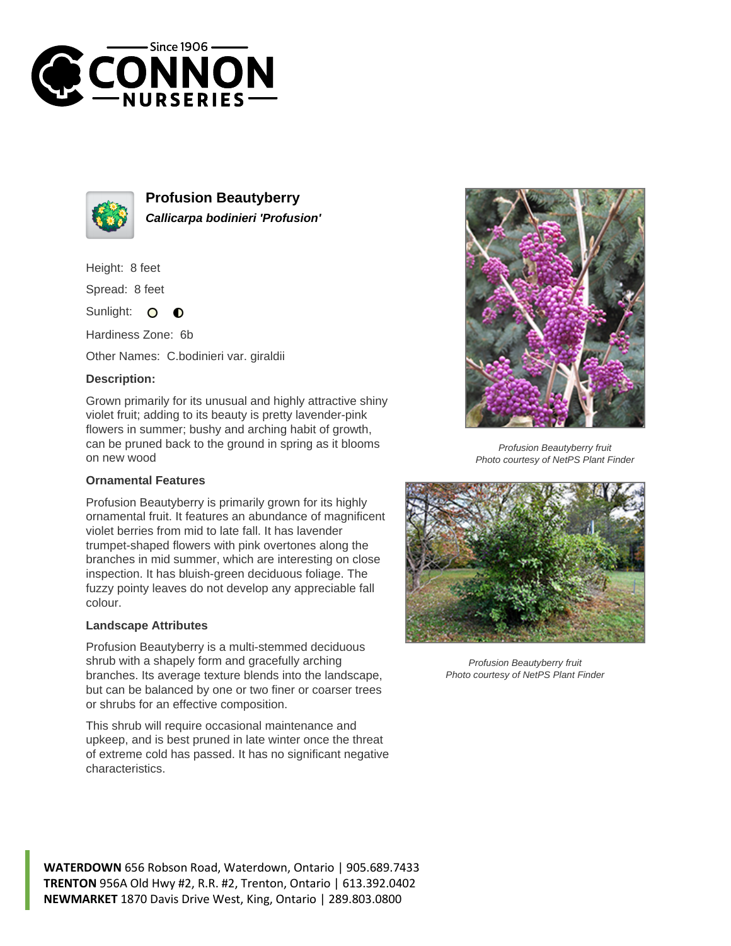



**Profusion Beautyberry Callicarpa bodinieri 'Profusion'**

Height: 8 feet

Spread: 8 feet

Sunlight:  $\bullet$  $\bullet$ 

Hardiness Zone: 6b

Other Names: C.bodinieri var. giraldii

## **Description:**

Grown primarily for its unusual and highly attractive shiny violet fruit; adding to its beauty is pretty lavender-pink flowers in summer; bushy and arching habit of growth, can be pruned back to the ground in spring as it blooms on new wood

## **Ornamental Features**

Profusion Beautyberry is primarily grown for its highly ornamental fruit. It features an abundance of magnificent violet berries from mid to late fall. It has lavender trumpet-shaped flowers with pink overtones along the branches in mid summer, which are interesting on close inspection. It has bluish-green deciduous foliage. The fuzzy pointy leaves do not develop any appreciable fall colour.

## **Landscape Attributes**

Profusion Beautyberry is a multi-stemmed deciduous shrub with a shapely form and gracefully arching branches. Its average texture blends into the landscape, but can be balanced by one or two finer or coarser trees or shrubs for an effective composition.

This shrub will require occasional maintenance and upkeep, and is best pruned in late winter once the threat of extreme cold has passed. It has no significant negative characteristics.



Profusion Beautyberry fruit Photo courtesy of NetPS Plant Finder



Profusion Beautyberry fruit Photo courtesy of NetPS Plant Finder

**WATERDOWN** 656 Robson Road, Waterdown, Ontario | 905.689.7433 **TRENTON** 956A Old Hwy #2, R.R. #2, Trenton, Ontario | 613.392.0402 **NEWMARKET** 1870 Davis Drive West, King, Ontario | 289.803.0800